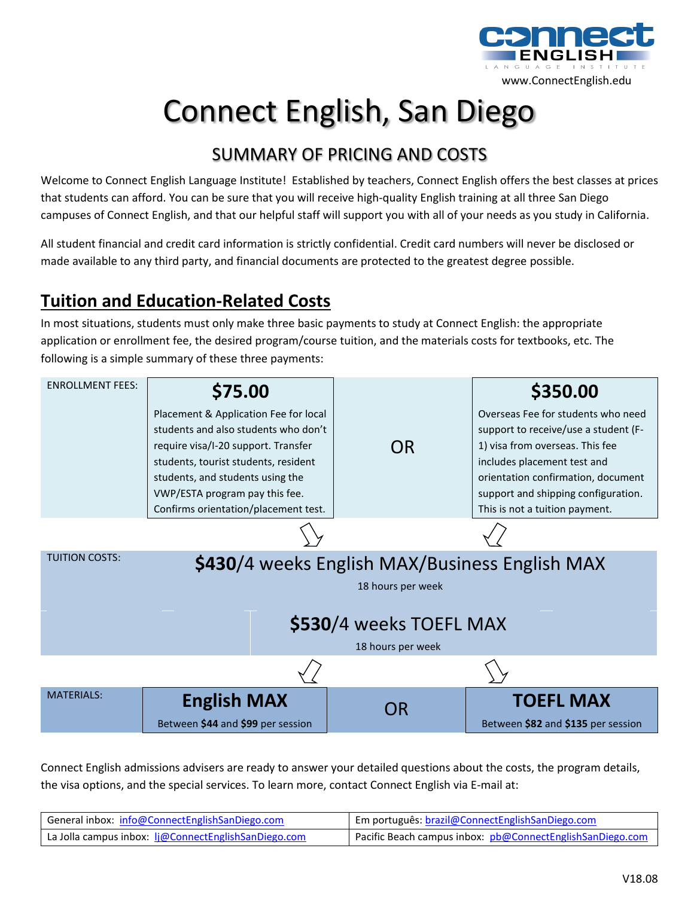

# Connect English, San Diego

## SUMMARY OF PRICING AND COSTS

Welcome to Connect English Language Institute! Established by teachers, Connect English offers the best classes at prices that students can afford. You can be sure that you will receive high-quality English training at all three San Diego campuses of Connect English, and that our helpful staff will support you with all of your needs as you study in California.

All student financial and credit card information is strictly confidential. Credit card numbers will never be disclosed or made available to any third party, and financial documents are protected to the greatest degree possible.

# **Tuition and Education-Related Costs**

In most situations, students must only make three basic payments to study at Connect English: the appropriate application or enrollment fee, the desired program/course tuition, and the materials costs for textbooks, etc. The following is a simple summary of these three payments:



Connect English admissions advisers are ready to answer your detailed questions about the costs, the program details, the visa options, and the special services. To learn more, contact Connect English via E-mail at:

| General inbox: info@ConnectEnglishSanDiego.com       | Em português: brazil@ConnectEnglishSanDiego.com           |
|------------------------------------------------------|-----------------------------------------------------------|
| La Jolla campus inbox: li@ConnectEnglishSanDiego.com | Pacific Beach campus inbox: pb@ConnectEnglishSanDiego.com |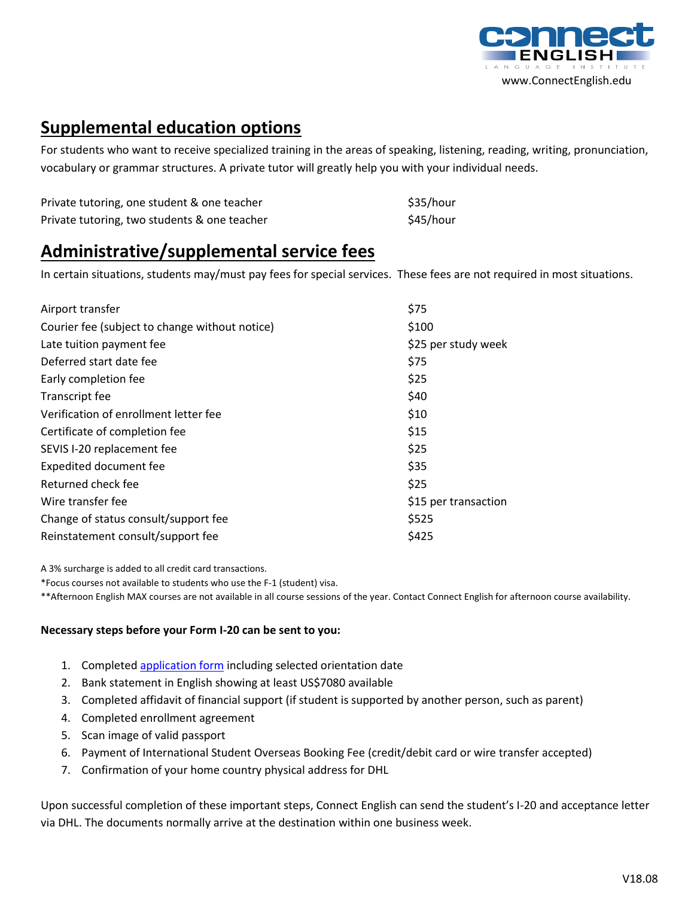

#### **Supplemental education options**

For students who want to receive specialized training in the areas of speaking, listening, reading, writing, pronunciation, vocabulary or grammar structures. A private tutor will greatly help you with your individual needs.

| Private tutoring, one student & one teacher  | \$35/hour |
|----------------------------------------------|-----------|
| Private tutoring, two students & one teacher | \$45/hour |

#### **Administrative/supplemental service fees**

In certain situations, students may/must pay fees for special services. These fees are not required in most situations.

| Airport transfer                               | \$75                 |
|------------------------------------------------|----------------------|
| Courier fee (subject to change without notice) | \$100                |
| Late tuition payment fee                       | \$25 per study week  |
| Deferred start date fee                        | \$75                 |
| Early completion fee                           | \$25                 |
| Transcript fee                                 | \$40                 |
| Verification of enrollment letter fee          | \$10                 |
| Certificate of completion fee                  | \$15                 |
| SEVIS I-20 replacement fee                     | \$25                 |
| <b>Expedited document fee</b>                  | \$35                 |
| Returned check fee                             | \$25                 |
| Wire transfer fee                              | \$15 per transaction |
| Change of status consult/support fee           | \$525                |
| Reinstatement consult/support fee              | \$425                |

A 3% surcharge is added to all credit card transactions.

\*Focus courses not available to students who use the F-1 (student) visa.

\*\*Afternoon English MAX courses are not available in all course sessions of the year. Contact Connect English for afternoon course availability.

#### **Necessary steps before your Form I-20 can be sent to you:**

- 1. Complete[d application form](https://www.connectenglishsandiego.com/apply-now/) including selected orientation date
- 2. Bank statement in English showing at least US\$7080 available
- 3. Completed affidavit of financial support (if student is supported by another person, such as parent)
- 4. Completed enrollment agreement
- 5. Scan image of valid passport
- 6. Payment of International Student Overseas Booking Fee (credit/debit card or wire transfer accepted)
- 7. Confirmation of your home country physical address for DHL

Upon successful completion of these important steps, Connect English can send the student's I-20 and acceptance letter via DHL. The documents normally arrive at the destination within one business week.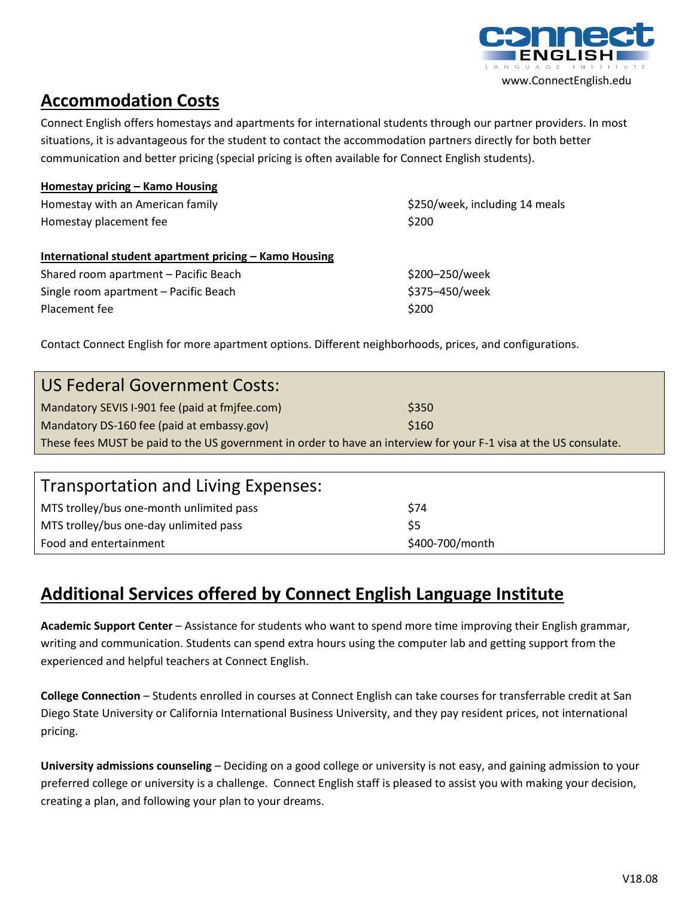

#### **Accommodation Costs**

Connect English offers homestays and apartments for international students through our partner providers. In most situations, it is advantageous for the student to contact the accommodation partners directly for both better communication and better pricing (special pricing is often available for Connect English students).

| Homestay pricing - Kamo Housing                        |                                |
|--------------------------------------------------------|--------------------------------|
| Homestay with an American family                       | \$250/week, including 14 meals |
| Homestay placement fee                                 | \$200                          |
|                                                        |                                |
| International student apartment pricing - Kamo Housing |                                |
| Shared room apartment - Pacific Beach                  | \$200-250/week                 |
| Single room apartment - Pacific Beach                  | \$375-450/week                 |
| Placement fee                                          | \$200                          |
|                                                        |                                |

Contact Connect English for more apartment options. Different neighborhoods, prices, and configurations.

| <b>US Federal Government Costs:</b>                                                                               |       |  |
|-------------------------------------------------------------------------------------------------------------------|-------|--|
| Mandatory SEVIS I-901 fee (paid at fmjfee.com)                                                                    | \$350 |  |
| Mandatory DS-160 fee (paid at embassy.gov)                                                                        | \$160 |  |
| These fees MUST be paid to the US government in order to have an interview for your F-1 visa at the US consulate. |       |  |
|                                                                                                                   |       |  |
|                                                                                                                   |       |  |

| Transportation and Living Expenses:      |                 |
|------------------------------------------|-----------------|
| MTS trolley/bus one-month unlimited pass | S74             |
| MTS trolley/bus one-day unlimited pass   | S5              |
| Food and entertainment                   | \$400-700/month |

#### **Additional Services offered by Connect English Language Institute**

**Academic Support Center** – Assistance for students who want to spend more time improving their English grammar, writing and communication. Students can spend extra hours using the computer lab and getting support from the experienced and helpful teachers at Connect English.

**College Connection** – Students enrolled in courses at Connect English can take courses for transferrable credit at San Diego State University or California International Business University, and they pay resident prices, not international pricing.

**University admissions counseling** – Deciding on a good college or university is not easy, and gaining admission to your preferred college or university is a challenge. Connect English staff is pleased to assist you with making your decision, creating a plan, and following your plan to your dreams.